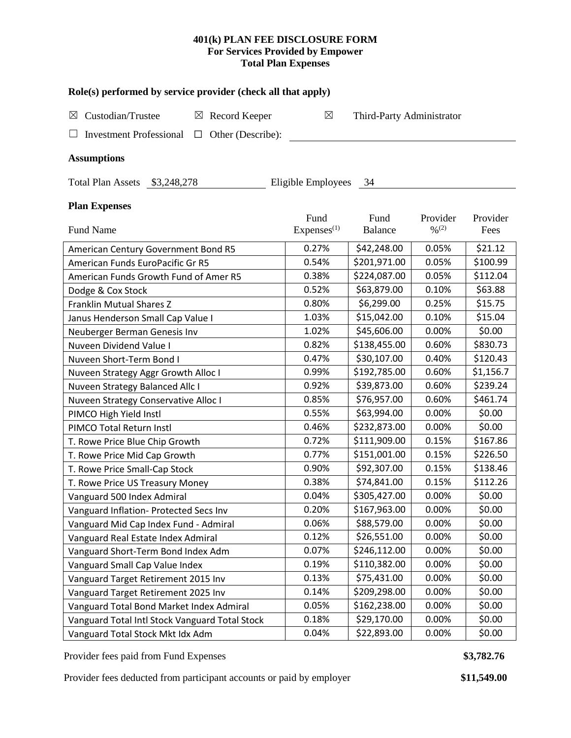# **401(k) PLAN FEE DISCLOSURE FORM For Services Provided by Empower Total Plan Expenses**

| Role(s) performed by service provider (check all that apply)  |                                |                           |                                          |                  |  |  |  |  |  |  |  |
|---------------------------------------------------------------|--------------------------------|---------------------------|------------------------------------------|------------------|--|--|--|--|--|--|--|
| Custodian/Trustee<br>$\boxtimes$ Record Keeper<br>$\boxtimes$ | $\boxtimes$                    | Third-Party Administrator |                                          |                  |  |  |  |  |  |  |  |
| <b>Investment Professional</b><br>Other (Describe):<br>$\Box$ |                                |                           |                                          |                  |  |  |  |  |  |  |  |
| <b>Assumptions</b>                                            |                                |                           |                                          |                  |  |  |  |  |  |  |  |
| Total Plan Assets \$3,248,278<br>Eligible Employees 34        |                                |                           |                                          |                  |  |  |  |  |  |  |  |
| <b>Plan Expenses</b>                                          |                                |                           |                                          |                  |  |  |  |  |  |  |  |
| Fund Name                                                     | Fund<br>Express <sup>(1)</sup> | Fund<br><b>Balance</b>    | Provider<br>$\frac{0}{2}$ <sup>(2)</sup> | Provider<br>Fees |  |  |  |  |  |  |  |
| American Century Government Bond R5                           | 0.27%                          | \$42,248.00               | 0.05%                                    | \$21.12          |  |  |  |  |  |  |  |
| American Funds EuroPacific Gr R5                              | 0.54%                          | \$201,971.00              | 0.05%                                    | \$100.99         |  |  |  |  |  |  |  |
| American Funds Growth Fund of Amer R5                         | 0.38%                          | \$224,087.00              | 0.05%                                    | \$112.04         |  |  |  |  |  |  |  |
| Dodge & Cox Stock                                             | 0.52%                          | \$63,879.00               | 0.10%                                    | \$63.88          |  |  |  |  |  |  |  |
| <b>Franklin Mutual Shares Z</b>                               | 0.80%                          | \$6,299.00                | 0.25%                                    | \$15.75          |  |  |  |  |  |  |  |
| Janus Henderson Small Cap Value I                             | 1.03%                          | \$15,042.00               | 0.10%                                    | \$15.04          |  |  |  |  |  |  |  |
| Neuberger Berman Genesis Inv                                  | 1.02%                          | \$45,606.00               | 0.00%                                    | \$0.00           |  |  |  |  |  |  |  |
| Nuveen Dividend Value I                                       | 0.82%                          | \$138,455.00              | 0.60%                                    | \$830.73         |  |  |  |  |  |  |  |
| Nuveen Short-Term Bond I                                      | 0.47%                          | \$30,107.00               | 0.40%                                    | \$120.43         |  |  |  |  |  |  |  |
| Nuveen Strategy Aggr Growth Alloc I                           | 0.99%                          | \$192,785.00              | 0.60%                                    | \$1,156.7        |  |  |  |  |  |  |  |
| Nuveen Strategy Balanced Allc I                               | 0.92%                          | \$39,873.00               | 0.60%                                    | \$239.24         |  |  |  |  |  |  |  |
| Nuveen Strategy Conservative Alloc I                          | 0.85%                          | \$76,957.00               | 0.60%                                    | \$461.74         |  |  |  |  |  |  |  |
| PIMCO High Yield Instl                                        | 0.55%                          | \$63,994.00               | 0.00%                                    | \$0.00           |  |  |  |  |  |  |  |
| PIMCO Total Return Instl                                      | 0.46%                          | \$232,873.00              | 0.00%                                    | \$0.00           |  |  |  |  |  |  |  |
| T. Rowe Price Blue Chip Growth                                | 0.72%                          | \$111,909.00              | 0.15%                                    | \$167.86         |  |  |  |  |  |  |  |
| T. Rowe Price Mid Cap Growth                                  | 0.77%                          | \$151,001.00              | 0.15%                                    | \$226.50         |  |  |  |  |  |  |  |
| T. Rowe Price Small-Cap Stock                                 | 0.90%                          | \$92,307.00               | 0.15%                                    | \$138.46         |  |  |  |  |  |  |  |
| T. Rowe Price US Treasury Money                               | 0.38%                          | \$74,841.00               | 0.15%                                    | \$112.26         |  |  |  |  |  |  |  |
| Vanguard 500 Index Admiral                                    | 0.04%                          | \$305,427.00              | 0.00%                                    | \$0.00           |  |  |  |  |  |  |  |
| Vanguard Inflation- Protected Secs Inv                        | 0.20%                          | \$167,963.00              | 0.00%                                    | \$0.00           |  |  |  |  |  |  |  |
| Vanguard Mid Cap Index Fund - Admiral                         | 0.06%                          | \$88,579.00               | 0.00%                                    | \$0.00           |  |  |  |  |  |  |  |
| Vanguard Real Estate Index Admiral                            | 0.12%                          | \$26,551.00               | 0.00%                                    | \$0.00           |  |  |  |  |  |  |  |
| Vanguard Short-Term Bond Index Adm                            | 0.07%                          | \$246,112.00              | 0.00%                                    | \$0.00           |  |  |  |  |  |  |  |
| Vanguard Small Cap Value Index                                | 0.19%                          | \$110,382.00              | 0.00%                                    | \$0.00           |  |  |  |  |  |  |  |
| Vanguard Target Retirement 2015 Inv                           | 0.13%                          | \$75,431.00               | 0.00%                                    | \$0.00           |  |  |  |  |  |  |  |
| Vanguard Target Retirement 2025 Inv                           | 0.14%                          | \$209,298.00              | 0.00%                                    | \$0.00           |  |  |  |  |  |  |  |
| Vanguard Total Bond Market Index Admiral                      | 0.05%                          | \$162,238.00              | 0.00%                                    | \$0.00           |  |  |  |  |  |  |  |
| Vanguard Total Intl Stock Vanguard Total Stock                | 0.18%                          | \$29,170.00               | 0.00%                                    | \$0.00           |  |  |  |  |  |  |  |
| Vanguard Total Stock Mkt Idx Adm                              | 0.04%                          | \$22,893.00               | 0.00%                                    | \$0.00           |  |  |  |  |  |  |  |

Provider fees paid from Fund Expenses **\$3,782.76** 

Provider fees deducted from participant accounts or paid by employer **\$11,549.00**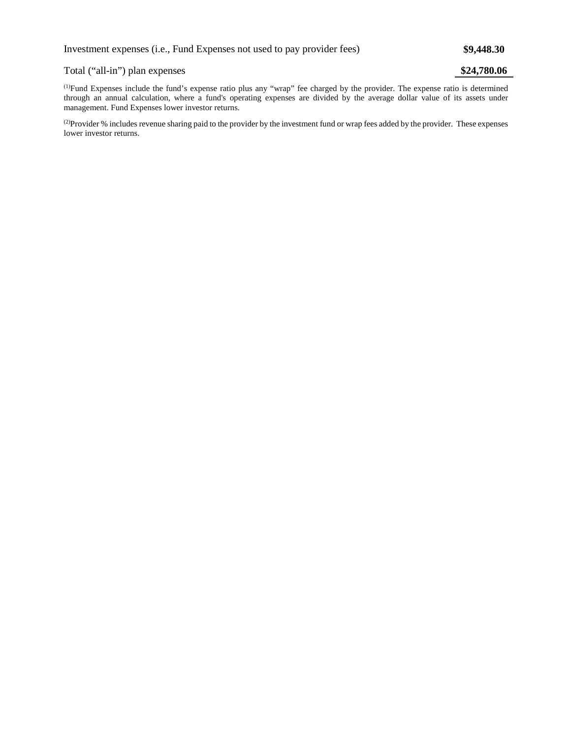# Total ("all-in") plan expenses **\$24,780.06**

(1) Fund Expenses include the fund's expense ratio plus any "wrap" fee charged by the provider. The expense ratio is determined through an annual calculation, where a fund's operating expenses are divided by the average dollar value of its assets under management. Fund Expenses lower investor returns.

(2) Provider % includes revenue sharing paid to the provider by the investment fund or wrap fees added by the provider. These expenses lower investor returns.